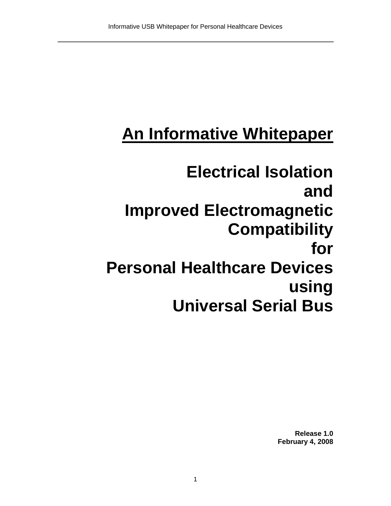# **An Informative Whitepaper**

## **Electrical Isolation and Improved Electromagnetic Compatibility for Personal Healthcare Devices using Universal Serial Bus**

**Release 1.0 February 4, 2008**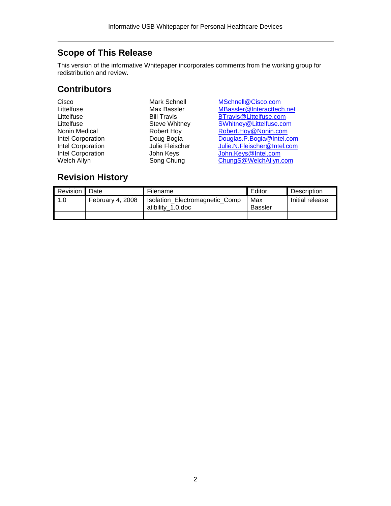### <span id="page-1-0"></span>**Scope of This Release**

This version of the informative Whitepaper incorporates comments from the working group for redistribution and review.

#### **Contributors**

Mark Schnell MSchnell@Cisco.com Max Bassler MBassler@Interacttech.net<br>
Bill Travis BTravis@Littelfuse.com Bill Travis<br>
Steve Whitney<br>
Steve Whitney<br>
Steve Littelfuse.com<br>
Steve Whitney<br>
Continued Biltelfuse.com<br>
Steve Whitney<br>
Continued Biltelfuse.com<br>
Steve Whitney<br>
Continued Biltelfuse.com<br>
Steve 2018 Steve Whitney<br>
Robert Hoy<br>
Robert Hoy@Nonin.com<br>
Robert Hoy@Nonin.com Robert Hoy<br>Doug Bogia Bouglas.P.Bogia@Intel.com INTEL CORPORATION CORPORATION [Douglas.P.Bogia@Intel.com](mailto:Douglas.P.Bogia@Intel.com)<br>
Julie Fleischer Julie.N.Fleischer@Intel.com Julie N.Fleischer@Intel.com John Keys John Keys <sup>John Keys @</sup>Intel.com Song Chung Chung Chung Chung Chung Chung Chung Chung Chung Chung Chung Chung Chung Chung Chung Chung Chung Chung Chung Chung Chung Chung Chung Chung Chung Chung Chung Chung Chung Chung Chung Chung Chung Chung Chung Chung C

#### **Revision History**

| Revision Date |                  | Filename                                            | Editor                | Description     |
|---------------|------------------|-----------------------------------------------------|-----------------------|-----------------|
| 1.0           | February 4, 2008 | Isolation_Electromagnetic_Comp<br>atibility 1.0.doc | Max<br><b>Bassler</b> | Initial release |
|               |                  |                                                     |                       |                 |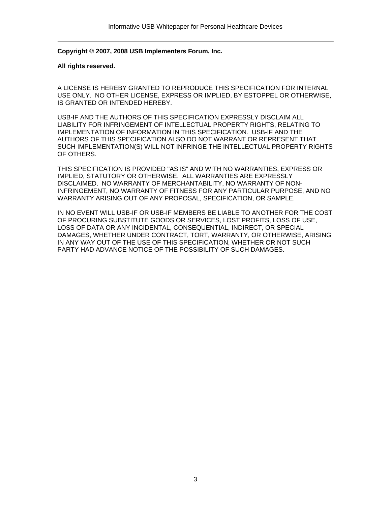**Copyright © 2007, 2008 USB Implementers Forum, Inc.** 

#### **All rights reserved.**

A LICENSE IS HEREBY GRANTED TO REPRODUCE THIS SPECIFICATION FOR INTERNAL USE ONLY. NO OTHER LICENSE, EXPRESS OR IMPLIED, BY ESTOPPEL OR OTHERWISE, IS GRANTED OR INTENDED HEREBY.

USB-IF AND THE AUTHORS OF THIS SPECIFICATION EXPRESSLY DISCLAIM ALL LIABILITY FOR INFRINGEMENT OF INTELLECTUAL PROPERTY RIGHTS, RELATING TO IMPLEMENTATION OF INFORMATION IN THIS SPECIFICATION. USB-IF AND THE AUTHORS OF THIS SPECIFICATION ALSO DO NOT WARRANT OR REPRESENT THAT SUCH IMPLEMENTATION(S) WILL NOT INFRINGE THE INTELLECTUAL PROPERTY RIGHTS OF OTHERS.

THIS SPECIFICATION IS PROVIDED "AS IS" AND WITH NO WARRANTIES, EXPRESS OR IMPLIED, STATUTORY OR OTHERWISE. ALL WARRANTIES ARE EXPRESSLY DISCLAIMED. NO WARRANTY OF MERCHANTABILITY, NO WARRANTY OF NON-INFRINGEMENT, NO WARRANTY OF FITNESS FOR ANY PARTICULAR PURPOSE, AND NO WARRANTY ARISING OUT OF ANY PROPOSAL, SPECIFICATION, OR SAMPLE.

IN NO EVENT WILL USB-IF OR USB-IF MEMBERS BE LIABLE TO ANOTHER FOR THE COST OF PROCURING SUBSTITUTE GOODS OR SERVICES, LOST PROFITS, LOSS OF USE, LOSS OF DATA OR ANY INCIDENTAL, CONSEQUENTIAL, INDIRECT, OR SPECIAL DAMAGES, WHETHER UNDER CONTRACT, TORT, WARRANTY, OR OTHERWISE, ARISING IN ANY WAY OUT OF THE USE OF THIS SPECIFICATION, WHETHER OR NOT SUCH PARTY HAD ADVANCE NOTICE OF THE POSSIBILITY OF SUCH DAMAGES.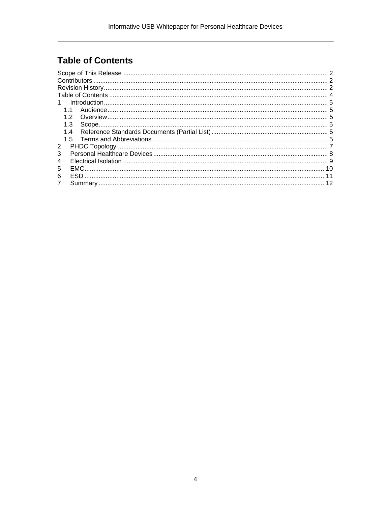## <span id="page-3-0"></span>**Table of Contents**

| 1              |    |
|----------------|----|
| $11$           |    |
| 12             |    |
| 1.3            |    |
|                |    |
|                |    |
| 2              |    |
| 3              |    |
| 4              |    |
| EMC.<br>5      | 10 |
| 6              |    |
| $\overline{7}$ |    |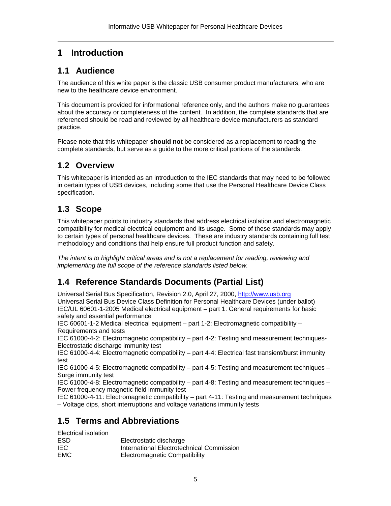#### <span id="page-4-0"></span>**1 Introduction**

#### **1.1 Audience**

The audience of this white paper is the classic USB consumer product manufacturers, who are new to the healthcare device environment.

This document is provided for informational reference only, and the authors make no guarantees about the accuracy or completeness of the content. In addition, the complete standards that are referenced should be read and reviewed by all healthcare device manufacturers as standard practice.

Please note that this whitepaper **should not** be considered as a replacement to reading the complete standards, but serve as a guide to the more critical portions of the standards.

#### **1.2 Overview**

This whitepaper is intended as an introduction to the IEC standards that may need to be followed in certain types of USB devices, including some that use the Personal Healthcare Device Class specification.

#### **1.3 Scope**

This whitepaper points to industry standards that address electrical isolation and electromagnetic compatibility for medical electrical equipment and its usage. Some of these standards may apply to certain types of personal healthcare devices. These are industry standards containing full test methodology and conditions that help ensure full product function and safety.

*The intent is to highlight critical areas and is not a replacement for reading, reviewing and implementing the full scope of the reference standards listed below.* 

#### **1.4 Reference Standards Documents (Partial List)**

Universal Serial Bus Specification, Revision 2.0, April 27, 2000, [http://www.usb.org](http://www.usb.org/)  Universal Serial Bus Device Class Definition for Personal Healthcare Devices (under ballot) IEC/UL 60601-1-2005 Medical electrical equipment – part 1: General requirements for basic safety and essential performance

IEC 60601-1-2 Medical electrical equipment – part 1-2: Electromagnetic compatibility – Requirements and tests

IEC 61000-4-2: Electromagnetic compatibility – part 4-2: Testing and measurement techniques-Electrostatic discharge immunity test

IEC 61000-4-4: Electromagnetic compatibility – part 4-4: Electrical fast transient/burst immunity test

IEC 61000-4-5: Electromagnetic compatibility – part 4-5: Testing and measurement techniques – Surge immunity test

IEC 61000-4-8: Electromagnetic compatibility – part 4-8: Testing and measurement techniques – Power frequency magnetic field immunity test

IEC 61000-4-11: Electromagnetic compatibility – part 4-11: Testing and measurement techniques – Voltage dips, short interruptions and voltage variations immunity tests

#### **1.5 Terms and Abbreviations**

Electrical isolation

| ESD.       | Electrostatic discharge                   |
|------------|-------------------------------------------|
| IEC.       | International Electrotechnical Commission |
| <b>EMC</b> | <b>Electromagnetic Compatibility</b>      |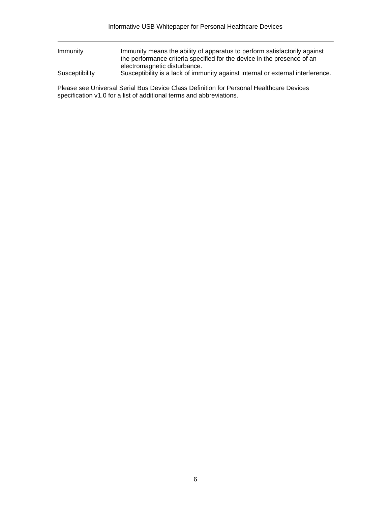| Immunity       | Immunity means the ability of apparatus to perform satisfactorily against<br>the performance criteria specified for the device in the presence of an |
|----------------|------------------------------------------------------------------------------------------------------------------------------------------------------|
|                | electromagnetic disturbance.                                                                                                                         |
| Susceptibility | Susceptibility is a lack of immunity against internal or external interference.                                                                      |
|                |                                                                                                                                                      |

Please see Universal Serial Bus Device Class Definition for Personal Healthcare Devices specification v1.0 for a list of additional terms and abbreviations.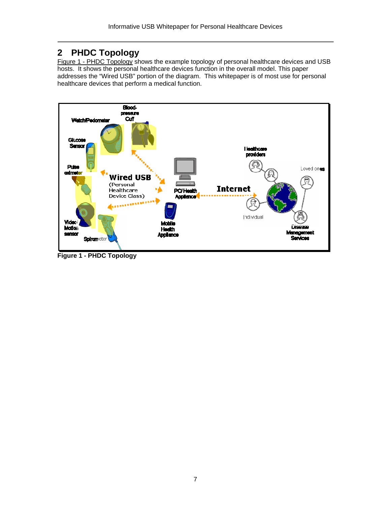#### <span id="page-6-0"></span>**2 PHDC Topology**

[Figure 1 - PHDC Topology](#page-6-1) shows the example topology of personal healthcare devices and USB hosts. It shows the personal healthcare devices function in the overall model. This paper addresses the "Wired USB" portion of the diagram. This whitepaper is of most use for personal healthcare devices that perform a medical function.



<span id="page-6-1"></span>**Figure 1 - PHDC Topology**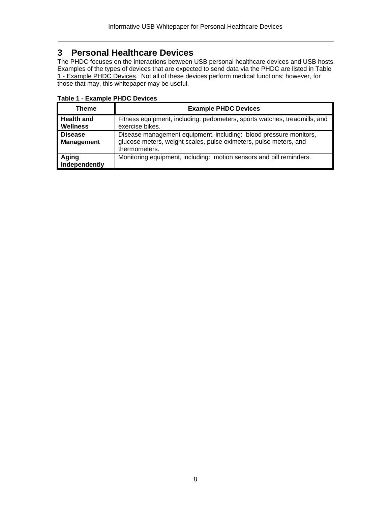#### <span id="page-7-0"></span>**3 Personal Healthcare Devices**

The PHDC focuses on the interactions between USB personal healthcare devices and USB hosts. Examples of the types of devices that are expected to send data via the PHDC are listed in [Table](#page-7-1) [1 - Example PHDC Devices.](#page-7-1) Not all of these devices perform medical functions; however, for those that may, this whitepaper may be useful.

| Table T - Example Frible Devices     |                                                                                                                                                         |  |  |  |
|--------------------------------------|---------------------------------------------------------------------------------------------------------------------------------------------------------|--|--|--|
| Theme                                | <b>Example PHDC Devices</b>                                                                                                                             |  |  |  |
| <b>Health and</b><br><b>Wellness</b> | Fitness equipment, including: pedometers, sports watches, treadmills, and<br>exercise bikes.                                                            |  |  |  |
| <b>Disease</b><br><b>Management</b>  | Disease management equipment, including: blood pressure monitors,<br>glucose meters, weight scales, pulse oximeters, pulse meters, and<br>thermometers. |  |  |  |
| Aging<br>Independently               | Monitoring equipment, including: motion sensors and pill reminders.                                                                                     |  |  |  |

#### <span id="page-7-1"></span>**Table 1 - Example PHDC Devices**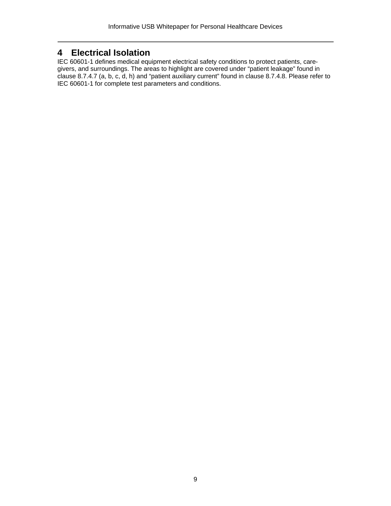#### <span id="page-8-0"></span>**4 Electrical Isolation**

IEC 60601-1 defines medical equipment electrical safety conditions to protect patients, caregivers, and surroundings. The areas to highlight are covered under "patient leakage" found in clause 8.7.4.7 (a, b, c, d, h) and "patient auxiliary current" found in clause 8.7.4.8. Please refer to IEC 60601-1 for complete test parameters and conditions.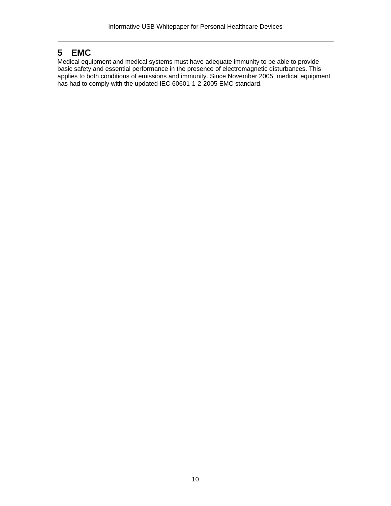#### <span id="page-9-0"></span>**5 EMC**

Medical equipment and medical systems must have adequate immunity to be able to provide basic safety and essential performance in the presence of electromagnetic disturbances. This applies to both conditions of emissions and immunity. Since November 2005, medical equipment has had to comply with the updated IEC 60601-1-2-2005 EMC standard.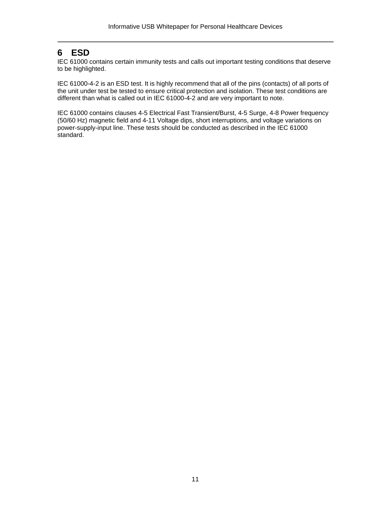#### <span id="page-10-0"></span>**6 ESD**

IEC 61000 contains certain immunity tests and calls out important testing conditions that deserve to be highlighted.

IEC 61000-4-2 is an ESD test. It is highly recommend that all of the pins (contacts) of all ports of the unit under test be tested to ensure critical protection and isolation. These test conditions are different than what is called out in IEC 61000-4-2 and are very important to note.

IEC 61000 contains clauses 4-5 Electrical Fast Transient/Burst, 4-5 Surge, 4-8 Power frequency (50/60 Hz) magnetic field and 4-11 Voltage dips, short interruptions, and voltage variations on power-supply-input line. These tests should be conducted as described in the IEC 61000 standard.